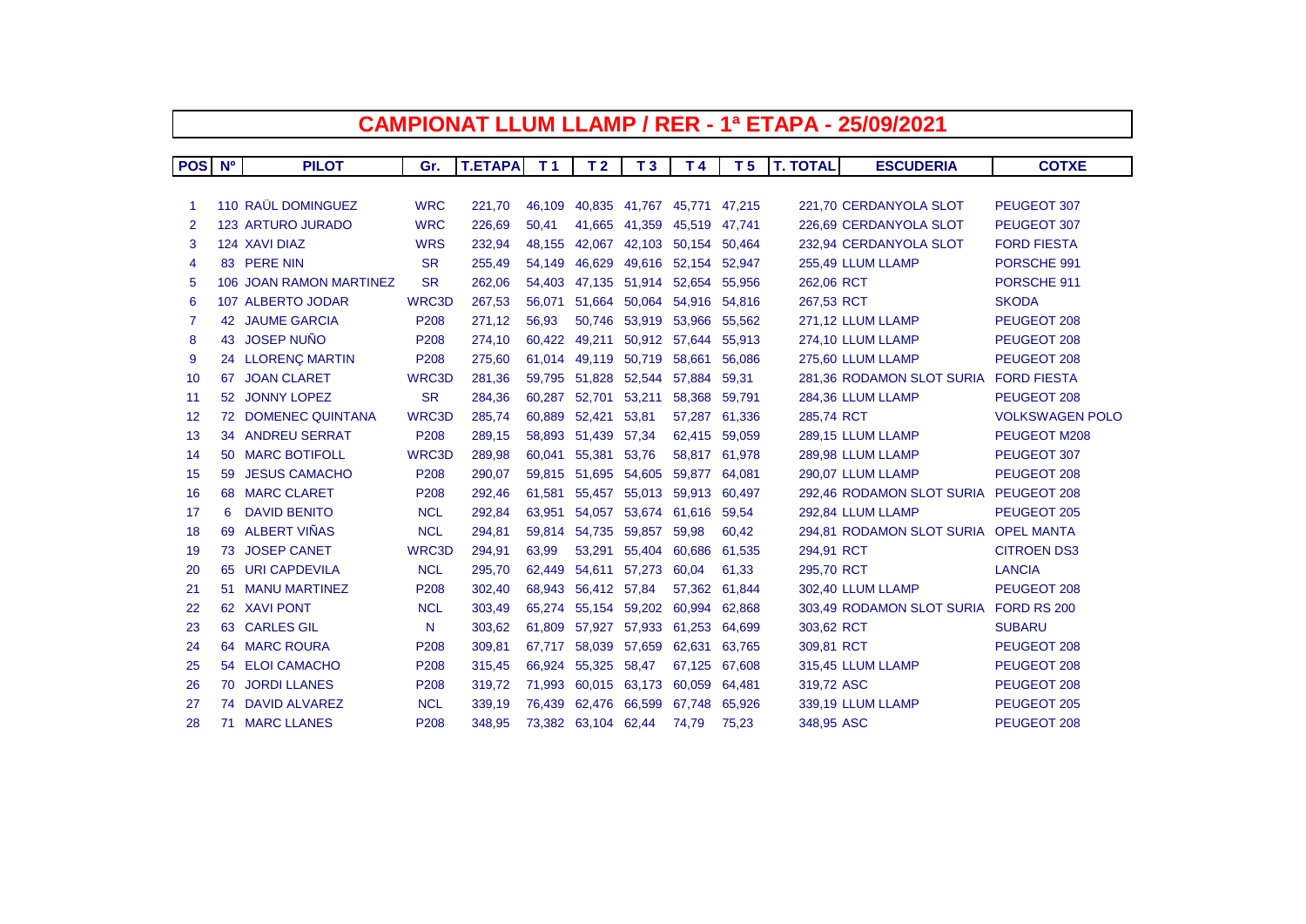| <b>CAMPIONAT LLUM LLAMP / RER - 1ª ETAPA - 25/09/2021</b> |                |                         |              |                |                |                             |                      |                             |                |                 |                                      |                        |
|-----------------------------------------------------------|----------------|-------------------------|--------------|----------------|----------------|-----------------------------|----------------------|-----------------------------|----------------|-----------------|--------------------------------------|------------------------|
|                                                           |                |                         |              |                |                |                             |                      |                             |                |                 |                                      |                        |
| <b>POS</b>                                                | N <sup>o</sup> | <b>PILOT</b>            | Gr.          | <b>T.ETAPA</b> | T <sub>1</sub> | T <sub>2</sub>              | T <sub>3</sub>       | T <sub>4</sub>              | T <sub>5</sub> | <b>T. TOTAL</b> | <b>ESCUDERIA</b>                     | <b>COTXE</b>           |
|                                                           |                |                         |              |                |                |                             |                      |                             |                |                 |                                      |                        |
| -1                                                        |                | 110 RAÜL DOMINGUEZ      | <b>WRC</b>   | 221,70         | 46,109         |                             |                      | 40,835 41,767 45,771 47,215 |                |                 | 221.70 CERDANYOLA SLOT               | PEUGEOT 307            |
| 2                                                         |                | 123 ARTURO JURADO       | <b>WRC</b>   | 226,69         | 50,41          |                             | 41,665 41,359        | 45,519                      | 47.741         |                 | 226,69 CERDANYOLA SLOT               | PEUGEOT 307            |
| 3                                                         |                | 124 XAVI DIAZ           | <b>WRS</b>   | 232,94         | 48,155         |                             | 42,067 42,103 50,154 |                             | 50,464         |                 | 232,94 CERDANYOLA SLOT               | <b>FORD FIESTA</b>     |
| 4                                                         |                | 83 PERE NIN             | <b>SR</b>    | 255,49         | 54,149         | 46,629                      | 49,616 52,154        |                             | 52,947         |                 | 255,49 LLUM LLAMP                    | PORSCHE 991            |
| 5                                                         |                | 106 JOAN RAMON MARTINEZ | <b>SR</b>    | 262,06         | 54.403         |                             | 47,135 51,914 52,654 |                             | 55,956         | 262.06 RCT      |                                      | PORSCHE 911            |
| 6                                                         |                | 107 ALBERTO JODAR       | <b>WRC3D</b> | 267,53         | 56.071         | 51.664                      | 50,064 54,916        |                             | 54.816         | 267,53 RCT      |                                      | <b>SKODA</b>           |
| $\overline{7}$                                            |                | <b>42 JAUME GARCIA</b>  | P208         | 271,12         | 56.93          |                             | 50,746 53,919 53,966 |                             | 55.562         |                 | 271,12 LLUM LLAMP                    | PEUGEOT 208            |
| 8                                                         |                | 43 JOSEP NUÑO           | P208         | 274,10         | 60,422         | 49,211                      | 50,912 57,644        |                             | 55,913         |                 | 274,10 LLUM LLAMP                    | PEUGEOT 208            |
| 9                                                         |                | 24 LLORENÇ MARTIN       | P208         | 275,60         |                | 61,014 49,119 50,719        |                      | 58,661                      | 56,086         |                 | 275,60 LLUM LLAMP                    | PEUGEOT 208            |
| 10                                                        |                | 67 JOAN CLARET          | WRC3D        | 281,36         | 59,795         |                             | 51,828 52,544        | 57,884                      | 59,31          |                 | 281,36 RODAMON SLOT SURIA            | <b>FORD FIESTA</b>     |
| 11                                                        |                | 52 JONNY LOPEZ          | <b>SR</b>    | 284,36         | 60,287         | 52,701 53,211               |                      | 58,368                      | 59,791         |                 | 284,36 LLUM LLAMP                    | PEUGEOT 208            |
| 12                                                        |                | 72 DOMENEC QUINTANA     | <b>WRC3D</b> | 285,74         |                | 60,889 52,421               | 53,81                | 57,287                      | 61,336         | 285,74 RCT      |                                      | <b>VOLKSWAGEN POLO</b> |
| 13                                                        |                | <b>34 ANDREU SERRAT</b> | P208         | 289,15         | 58,893         | 51,439 57,34                |                      | 62,415                      | 59,059         |                 | 289,15 LLUM LLAMP                    | PEUGEOT M208           |
| 14                                                        |                | 50 MARC BOTIFOLL        | <b>WRC3D</b> | 289,98         | 60.041         | 55,381                      | 53,76                | 58,817                      | 61,978         |                 | 289,98 LLUM LLAMP                    | PEUGEOT 307            |
| 15                                                        | 59             | <b>JESUS CAMACHO</b>    | P208         | 290,07         | 59.815         | 51,695 54,605               |                      | 59,877                      | 64,081         |                 | 290.07 LLUM LLAMP                    | PEUGEOT 208            |
| 16                                                        |                | 68 MARC CLARET          | P208         | 292,46         | 61,581         |                             | 55,457 55,013        | 59,913                      | 60.497         |                 | 292,46 RODAMON SLOT SURIA            | PEUGEOT 208            |
| 17                                                        | 6              | <b>DAVID BENITO</b>     | <b>NCL</b>   | 292,84         | 63,951         |                             | 54,057 53,674 61,616 |                             | 59,54          |                 | 292.84 LLUM LLAMP                    | PEUGEOT 205            |
| 18                                                        | 69             | ALBERT VIÑAS            | <b>NCL</b>   | 294,81         |                | 59,814 54,735 59,857 59,98  |                      |                             | 60,42          |                 | 294,81 RODAMON SLOT SURIA OPEL MANTA |                        |
| 19                                                        |                | 73 JOSEP CANET          | <b>WRC3D</b> | 294,91         | 63,99          | 53,291                      | 55,404 60,686        |                             | 61,535         | 294,91 RCT      |                                      | <b>CITROEN DS3</b>     |
| 20                                                        | 65             | <b>URI CAPDEVILA</b>    | <b>NCL</b>   | 295,70         | 62,449         | 54,611                      | 57,273               | 60,04                       | 61,33          | 295,70 RCT      |                                      | <b>LANCIA</b>          |
| 21                                                        |                | 51 MANU MARTINEZ        | P208         | 302,40         | 68,943         | 56,412 57,84                |                      | 57,362                      | 61,844         |                 | 302,40 LLUM LLAMP                    | PEUGEOT 208            |
| 22                                                        |                | 62 XAVI PONT            | <b>NCL</b>   | 303,49         |                | 65,274 55,154 59,202 60,994 |                      |                             | 62,868         |                 | 303,49 RODAMON SLOT SURIA            | FORD RS 200            |
| 23                                                        |                | 63 CARLES GIL           | N            | 303,62         | 61,809         |                             | 57,927 57,933 61,253 |                             | 64,699         | 303,62 RCT      |                                      | <b>SUBARU</b>          |
| 24                                                        |                | 64 MARC ROURA           | P208         | 309,81         | 67,717         |                             | 58,039 57,659        | 62,631                      | 63,765         | 309,81 RCT      |                                      | PEUGEOT 208            |
| 25                                                        |                | 54 ELOI CAMACHO         | P208         | 315,45         | 66,924         | 55,325                      | 58,47                | 67,125                      | 67.608         |                 | 315,45 LLUM LLAMP                    | PEUGEOT 208            |
| 26                                                        | 70             | <b>JORDI LLANES</b>     | P208         | 319,72         | 71,993         | 60,015                      | 63,173               | 60,059                      | 64,481         | 319,72 ASC      |                                      | PEUGEOT 208            |
| 27                                                        |                | 74 DAVID ALVAREZ        | <b>NCL</b>   | 339,19         | 76.439         | 62.476                      | 66,599               | 67,748                      | 65,926         |                 | 339,19 LLUM LLAMP                    | PEUGEOT 205            |
| 28                                                        |                | 71 MARC LLANES          | P208         | 348,95         |                | 73,382 63,104 62,44         |                      | 74,79                       | 75,23          | 348,95 ASC      |                                      | PEUGEOT 208            |

 $\Gamma$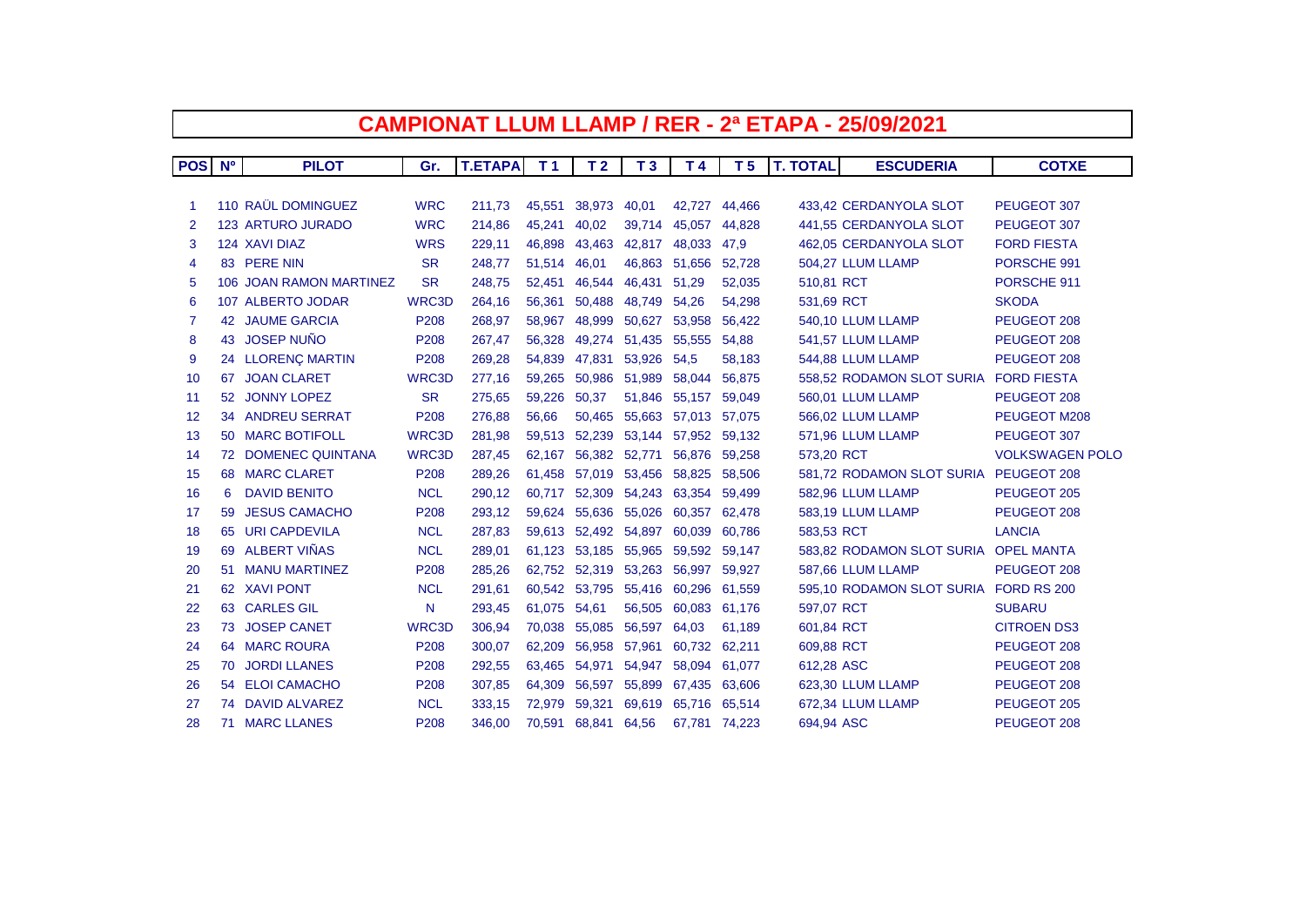| <b>CAMPIONAT LLUM LLAMP / RER - 2ª ETAPA - 25/09/2021</b> |           |                           |              |                |                |                      |                      |                |                |                 |                                       |                        |
|-----------------------------------------------------------|-----------|---------------------------|--------------|----------------|----------------|----------------------|----------------------|----------------|----------------|-----------------|---------------------------------------|------------------------|
|                                                           |           |                           |              |                |                |                      |                      |                |                |                 |                                       |                        |
| <b>POS</b>                                                | <b>N°</b> | <b>PILOT</b>              | Gr.          | <b>T.ETAPA</b> | T <sub>1</sub> | T <sub>2</sub>       | T <sub>3</sub>       | T <sub>4</sub> | T <sub>5</sub> | <b>T. TOTAL</b> | <b>ESCUDERIA</b>                      | <b>COTXE</b>           |
|                                                           |           |                           |              |                |                |                      |                      |                |                |                 |                                       |                        |
| -1                                                        |           | <b>110 RAÜL DOMINGUEZ</b> | <b>WRC</b>   | 211,73         | 45,551         | 38,973 40,01         |                      |                | 42,727 44,466  |                 | 433.42 CERDANYOLA SLOT                | PEUGEOT 307            |
| 2                                                         |           | <b>123 ARTURO JURADO</b>  | <b>WRC</b>   | 214,86         | 45,241         | 40,02                | 39,714               | 45,057         | 44,828         |                 | 441,55 CERDANYOLA SLOT                | PEUGEOT 307            |
| 3                                                         |           | 124 XAVI DIAZ             | <b>WRS</b>   | 229,11         | 46,898         | 43,463               | 42,817               | 48,033         | 47,9           |                 | 462,05 CERDANYOLA SLOT                | <b>FORD FIESTA</b>     |
| 4                                                         |           | 83 PERE NIN               | <b>SR</b>    | 248,77         | 51,514         | 46,01                |                      | 46,863 51,656  | 52,728         |                 | 504,27 LLUM LLAMP                     | PORSCHE 991            |
| 5                                                         |           | 106 JOAN RAMON MARTINEZ   | <b>SR</b>    | 248,75         | 52,451         |                      | 46,544 46,431 51,29  |                | 52,035         | 510.81 RCT      |                                       | PORSCHE 911            |
| 6                                                         |           | 107 ALBERTO JODAR         | WRC3D        | 264,16         | 56,361         | 50,488               | 48,749               | 54,26          | 54,298         | 531,69 RCT      |                                       | <b>SKODA</b>           |
| 7                                                         |           | <b>42 JAUME GARCIA</b>    | P208         | 268,97         | 58.967         | 48,999               | 50.627               | 53,958         | 56,422         |                 | 540,10 LLUM LLAMP                     | PEUGEOT 208            |
| 8                                                         |           | 43 JOSEP NUÑO             | P208         | 267,47         | 56,328         |                      | 49,274 51,435        | 55,555         | 54,88          |                 | 541,57 LLUM LLAMP                     | PEUGEOT 208            |
| 9                                                         |           | 24 LLORENÇ MARTIN         | P208         | 269,28         | 54,839         | 47,831               | 53,926               | 54,5           | 58,183         |                 | 544,88 LLUM LLAMP                     | PEUGEOT 208            |
| 10                                                        |           | 67 JOAN CLARET            | WRC3D        | 277,16         | 59,265         |                      | 50,986 51,989        | 58,044         | 56,875         |                 | 558,52 RODAMON SLOT SURIA             | <b>FORD FIESTA</b>     |
| 11                                                        |           | 52 JONNY LOPEZ            | <b>SR</b>    | 275,65         | 59,226         | 50,37                | 51,846               | 55,157         | 59,049         |                 | 560,01 LLUM LLAMP                     | PEUGEOT 208            |
| 12                                                        |           | <b>34 ANDREU SERRAT</b>   | P208         | 276,88         | 56,66          |                      | 50,465 55,663 57,013 |                | 57,075         |                 | 566,02 LLUM LLAMP                     | PEUGEOT M208           |
| 13                                                        |           | 50 MARC BOTIFOLL          | WRC3D        | 281,98         | 59,513         |                      | 52,239 53,144 57,952 |                | 59,132         |                 | 571,96 LLUM LLAMP                     | PEUGEOT 307            |
| 14                                                        |           | 72 DOMENEC QUINTANA       | <b>WRC3D</b> | 287,45         | 62,167         |                      | 56,382 52,771        | 56,876         | 59,258         | 573,20 RCT      |                                       | <b>VOLKSWAGEN POLO</b> |
| 15                                                        |           | 68 MARC CLARET            | P208         | 289,26         | 61,458         |                      | 57,019 53,456 58,825 |                | 58,506         |                 | 581.72 RODAMON SLOT SURIA             | PEUGEOT 208            |
| 16                                                        | 6         | <b>DAVID BENITO</b>       | <b>NCL</b>   | 290,12         | 60.717         |                      | 52,309 54,243 63,354 |                | 59,499         |                 | 582,96 LLUM LLAMP                     | PEUGEOT 205            |
| 17                                                        | 59        | <b>JESUS CAMACHO</b>      | P208         | 293,12         | 59.624         |                      | 55,636 55,026        | 60,357         | 62,478         |                 | 583,19 LLUM LLAMP                     | PEUGEOT 208            |
| 18                                                        | 65        | <b>URI CAPDEVILA</b>      | <b>NCL</b>   | 287,83         | 59,613         | 52,492 54,897 60,039 |                      |                | 60,786         | 583,53 RCT      |                                       | <b>LANCIA</b>          |
| 19                                                        | 69        | ALBERT VIÑAS              | <b>NCL</b>   | 289,01         | 61,123         |                      | 53,185 55,965 59,592 |                | 59,147         |                 | 583,82 RODAMON SLOT SURIA OPEL MANTA  |                        |
| 20                                                        |           | 51 MANU MARTINEZ          | P208         | 285,26         | 62,752         |                      | 52,319 53,263        | 56,997         | 59,927         |                 | 587,66 LLUM LLAMP                     | PEUGEOT 208            |
| 21                                                        |           | 62 XAVI PONT              | <b>NCL</b>   | 291,61         |                | 60,542 53,795 55,416 |                      | 60,296         | 61,559         |                 | 595,10 RODAMON SLOT SURIA FORD RS 200 |                        |
| 22                                                        |           | 63 CARLES GIL             | N            | 293,45         | 61,075 54,61   |                      | 56,505               | 60,083         | 61,176         | 597,07 RCT      |                                       | <b>SUBARU</b>          |
| 23                                                        | 73        | <b>JOSEP CANET</b>        | WRC3D        | 306,94         | 70,038         | 55,085               | 56,597               | 64,03          | 61,189         | 601,84 RCT      |                                       | <b>CITROEN DS3</b>     |
| 24                                                        |           | <b>64 MARC ROURA</b>      | P208         | 300,07         | 62,209         | 56,958               | 57,961               | 60,732         | 62,211         | 609,88 RCT      |                                       | PEUGEOT 208            |
| 25                                                        | 70        | <b>JORDI LLANES</b>       | P208         | 292,55         | 63,465         | 54,971               | 54,947               | 58,094         | 61.077         | 612,28 ASC      |                                       | PEUGEOT 208            |
| 26                                                        |           | 54 ELOI CAMACHO           | P208         | 307,85         | 64,309         | 56,597               | 55,899               | 67,435         | 63,606         |                 | 623,30 LLUM LLAMP                     | PEUGEOT 208            |
| 27                                                        |           | 74 DAVID ALVAREZ          | <b>NCL</b>   | 333,15         | 72.979         | 59,321               | 69,619               | 65,716         | 65,514         |                 | 672,34 LLUM LLAMP                     | PEUGEOT 205            |
| 28                                                        |           | <b>71 MARC LLANES</b>     | P208         | 346,00         | 70,591         | 68,841 64,56         |                      |                | 67,781 74,223  | 694,94 ASC      |                                       | PEUGEOT 208            |

 $\Gamma$